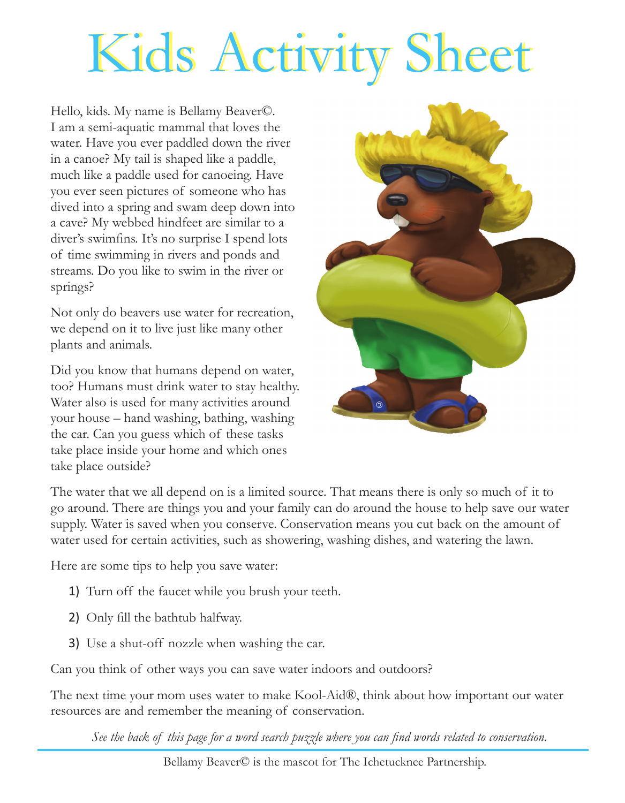## Kids Activity Sheet

Hello, kids. My name is Bellamy Beaver©. I am a semi-aquatic mammal that loves the water. Have you ever paddled down the river in a canoe? My tail is shaped like a paddle, much like a paddle used for canoeing. Have you ever seen pictures of someone who has dived into a spring and swam deep down into a cave? My webbed hindfeet are similar to a diver's swimfins. It's no surprise I spend lots of time swimming in rivers and ponds and streams. Do you like to swim in the river or springs?

Not only do beavers use water for recreation, we depend on it to live just like many other plants and animals.

Did you know that humans depend on water, too? Humans must drink water to stay healthy. Water also is used for many activities around your house – hand washing, bathing, washing the car. Can you guess which of these tasks take place inside your home and which ones take place outside?



The water that we all depend on is a limited source. That means there is only so much of it to go around. There are things you and your family can do around the house to help save our water supply. Water is saved when you conserve. Conservation means you cut back on the amount of water used for certain activities, such as showering, washing dishes, and watering the lawn.

Here are some tips to help you save water:

- 1) Turn off the faucet while you brush your teeth.
- 2) Only fill the bathtub halfway.
- 3) Use a shut-off nozzle when washing the car.

Can you think of other ways you can save water indoors and outdoors?

The next time your mom uses water to make Kool-Aid®, think about how important our water resources are and remember the meaning of conservation.

*See the back of this page for a word search puzzle where you can find words related to conservation.*